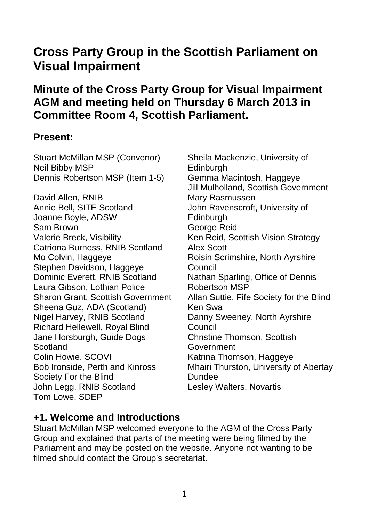# **Cross Party Group in the Scottish Parliament on Visual Impairment**

# **Minute of the Cross Party Group for Visual Impairment AGM and meeting held on Thursday 6 March 2013 in Committee Room 4, Scottish Parliament.**

#### **Present:**

Stuart McMillan MSP (Convenor) Neil Bibby MSP Dennis Robertson MSP (Item 1-5) David Allen, RNIB Annie Bell, SITE Scotland Joanne Boyle, ADSW Sam Brown Valerie Breck, Visibility Catriona Burness, RNIB Scotland Mo Colvin, Haggeye Stephen Davidson, Haggeye Dominic Everett, RNIB Scotland Laura Gibson, Lothian Police Sharon Grant, Scottish Government Sheena Guz, ADA (Scotland) Nigel Harvey, RNIB Scotland Richard Hellewell, Royal Blind Jane Horsburgh, Guide Dogs **Scotland** Colin Howie, SCOVI Bob Ironside, Perth and Kinross Society For the Blind John Legg, RNIB Scotland Tom Lowe, SDEP

Sheila Mackenzie, University of Edinburgh Gemma Macintosh, Haggeye Jill Mulholland, Scottish Government Mary Rasmussen John Ravenscroft, University of **Edinburgh** George Reid Ken Reid, Scottish Vision Strategy Alex Scott Roisin Scrimshire, North Ayrshire **Council** Nathan Sparling, Office of Dennis Robertson MSP Allan Suttie, Fife Society for the Blind Ken Swa Danny Sweeney, North Ayrshire **Council** Christine Thomson, Scottish **Government** Katrina Thomson, Haggeye Mhairi Thurston, University of Abertay **Dundee** Lesley Walters, Novartis

## **+1. Welcome and Introductions**

Stuart McMillan MSP welcomed everyone to the AGM of the Cross Party Group and explained that parts of the meeting were being filmed by the Parliament and may be posted on the website. Anyone not wanting to be filmed should contact the Group's secretariat.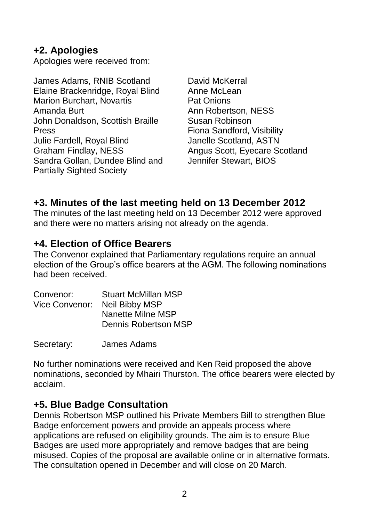## **+2. Apologies**

Apologies were received from:

James Adams, RNIB Scotland Elaine Brackenridge, Royal Blind Marion Burchart, Novartis Amanda Burt John Donaldson, Scottish Braille Press Julie Fardell, Royal Blind Graham Findlay, NESS Sandra Gollan, Dundee Blind and Partially Sighted Society

David McKerral Anne McLean Pat Onions Ann Robertson, NESS Susan Robinson Fiona Sandford, Visibility Janelle Scotland, ASTN Angus Scott, Eyecare Scotland Jennifer Stewart, BIOS

## **+3. Minutes of the last meeting held on 13 December 2012**

The minutes of the last meeting held on 13 December 2012 were approved and there were no matters arising not already on the agenda.

## **+4. Election of Office Bearers**

The Convenor explained that Parliamentary regulations require an annual election of the Group's office bearers at the AGM. The following nominations had been received.

| Convenor:      | <b>Stuart McMillan MSP</b> |
|----------------|----------------------------|
| Vice Convenor: | Neil Bibby MSP             |
|                | Nanette Milne MSP          |
|                | Dennis Robertson MSP       |
|                |                            |

Secretary: James Adams

No further nominations were received and Ken Reid proposed the above nominations, seconded by Mhairi Thurston. The office bearers were elected by acclaim.

## **+5. Blue Badge Consultation**

Dennis Robertson MSP outlined his Private Members Bill to strengthen Blue Badge enforcement powers and provide an appeals process where applications are refused on eligibility grounds. The aim is to ensure Blue Badges are used more appropriately and remove badges that are being misused. Copies of the proposal are available online or in alternative formats. The consultation opened in December and will close on 20 March.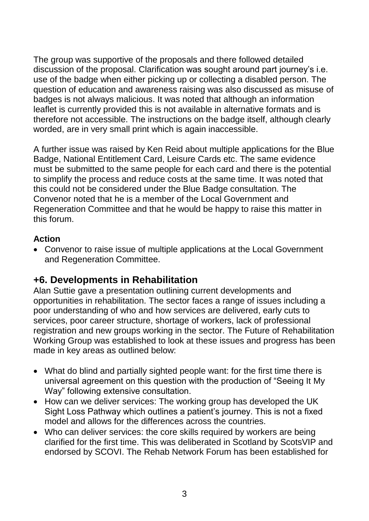The group was supportive of the proposals and there followed detailed discussion of the proposal. Clarification was sought around part journey's i.e. use of the badge when either picking up or collecting a disabled person. The question of education and awareness raising was also discussed as misuse of badges is not always malicious. It was noted that although an information leaflet is currently provided this is not available in alternative formats and is therefore not accessible. The instructions on the badge itself, although clearly worded, are in very small print which is again inaccessible.

A further issue was raised by Ken Reid about multiple applications for the Blue Badge, National Entitlement Card, Leisure Cards etc. The same evidence must be submitted to the same people for each card and there is the potential to simplify the process and reduce costs at the same time. It was noted that this could not be considered under the Blue Badge consultation. The Convenor noted that he is a member of the Local Government and Regeneration Committee and that he would be happy to raise this matter in this forum.

#### **Action**

 Convenor to raise issue of multiple applications at the Local Government and Regeneration Committee.

## **+6. Developments in Rehabilitation**

Alan Suttie gave a presentation outlining current developments and opportunities in rehabilitation. The sector faces a range of issues including a poor understanding of who and how services are delivered, early cuts to services, poor career structure, shortage of workers, lack of professional registration and new groups working in the sector. The Future of Rehabilitation Working Group was established to look at these issues and progress has been made in key areas as outlined below:

- What do blind and partially sighted people want: for the first time there is universal agreement on this question with the production of "Seeing It My Way" following extensive consultation.
- How can we deliver services: The working group has developed the UK Sight Loss Pathway which outlines a patient's journey. This is not a fixed model and allows for the differences across the countries.
- Who can deliver services: the core skills required by workers are being clarified for the first time. This was deliberated in Scotland by ScotsVIP and endorsed by SCOVI. The Rehab Network Forum has been established for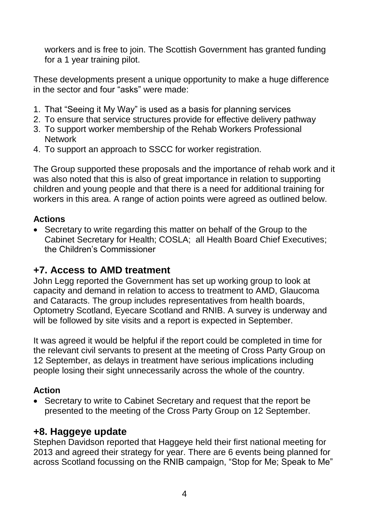workers and is free to join. The Scottish Government has granted funding for a 1 year training pilot.

These developments present a unique opportunity to make a huge difference in the sector and four "asks" were made:

- 1. That "Seeing it My Way" is used as a basis for planning services
- 2. To ensure that service structures provide for effective delivery pathway
- 3. To support worker membership of the Rehab Workers Professional **Network**
- 4. To support an approach to SSCC for worker registration.

The Group supported these proposals and the importance of rehab work and it was also noted that this is also of great importance in relation to supporting children and young people and that there is a need for additional training for workers in this area. A range of action points were agreed as outlined below.

#### **Actions**

 Secretary to write regarding this matter on behalf of the Group to the Cabinet Secretary for Health; COSLA; all Health Board Chief Executives; the Children's Commissioner

## **+7. Access to AMD treatment**

John Legg reported the Government has set up working group to look at capacity and demand in relation to access to treatment to AMD, Glaucoma and Cataracts. The group includes representatives from health boards, Optometry Scotland, Eyecare Scotland and RNIB. A survey is underway and will be followed by site visits and a report is expected in September.

It was agreed it would be helpful if the report could be completed in time for the relevant civil servants to present at the meeting of Cross Party Group on 12 September, as delays in treatment have serious implications including people losing their sight unnecessarily across the whole of the country.

#### **Action**

• Secretary to write to Cabinet Secretary and request that the report be presented to the meeting of the Cross Party Group on 12 September.

#### **+8. Haggeye update**

Stephen Davidson reported that Haggeye held their first national meeting for 2013 and agreed their strategy for year. There are 6 events being planned for across Scotland focussing on the RNIB campaign, "Stop for Me; Speak to Me"